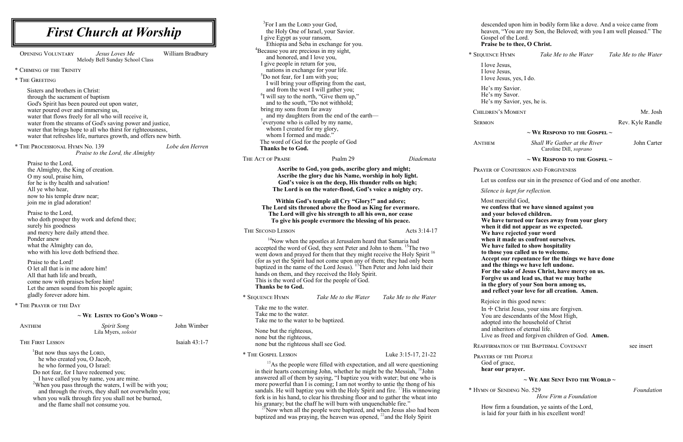erciful God, **we confess that we have sinned against you and your beloved children. We turned our faces away from your glory** did not appear as we expected. **We have rejected your word** made us confront ourselves. **Example 10 show hospitality** you called us to welcome.  $\alpha$ ur repentance for the things we have done **things we have left undone. for sake of Jesus Christ, have mercy on us. Forgive us and lead us, that we may bathe iory of your Son born among us, and reflect your love for all creation. Amen.**

### in this good news:

nrist Jesus, your sins are forgiven. descendants of the Most High, l into the household of Christ eritors of eternal life. freed and forgiven children of God. **Amen.** 

### TION OF THE BAPTISMAL COVENANT see insert

THE PEOPLE grace, **hearre heaver**.

\* Sequence Hymn *Take Me to the Water Take Me to the Water*

esus, yes, I do.

Savior.

Savor.

Savior, yes, he is.

MOMENT Mr. Josh

Rev. Kyle Randle

| <b>First Church at Worship</b>                                                                                                                                                                                                                                                                                                                                                  |                                                                                                                                                                                                                                                                                                                                              |                                                                                                                                                                                                                                                                                                                                                                                                       | <sup>3</sup> For I am the LORD your God,<br>the Holy One of Israel, your Savior.<br>I give Egypt as your ransom,                                                                                                                                                                                                                                                                                     |                                                                                                                                                                                                                                                                                                                                                                                                                                                                                                                                                         |                                                                                   | descended up<br>heaven, "Yo<br>Gospel of the                                                                                                                            |
|---------------------------------------------------------------------------------------------------------------------------------------------------------------------------------------------------------------------------------------------------------------------------------------------------------------------------------------------------------------------------------|----------------------------------------------------------------------------------------------------------------------------------------------------------------------------------------------------------------------------------------------------------------------------------------------------------------------------------------------|-------------------------------------------------------------------------------------------------------------------------------------------------------------------------------------------------------------------------------------------------------------------------------------------------------------------------------------------------------------------------------------------------------|------------------------------------------------------------------------------------------------------------------------------------------------------------------------------------------------------------------------------------------------------------------------------------------------------------------------------------------------------------------------------------------------------|---------------------------------------------------------------------------------------------------------------------------------------------------------------------------------------------------------------------------------------------------------------------------------------------------------------------------------------------------------------------------------------------------------------------------------------------------------------------------------------------------------------------------------------------------------|-----------------------------------------------------------------------------------|-------------------------------------------------------------------------------------------------------------------------------------------------------------------------|
| William Bradbury<br><b>OPENING VOLUNTARY</b><br>Jesus Loves Me<br>Melody Bell Sunday School Class<br>* CHIMING OF THE TRINITY<br>* THE GREETING<br>Sisters and brothers in Christ:                                                                                                                                                                                              |                                                                                                                                                                                                                                                                                                                                              | Ethiopia and Seba in exchange for you.<br><sup>4</sup> Because you are precious in my sight,<br>and honored, and I love you,<br>I give people in return for you,<br>nations in exchange for your life.<br><sup>5</sup> Do not fear, for I am with you;<br>I will bring your offspring from the east,<br>and from the west I will gather you;<br><sup>6</sup> I will say to the north, "Give them up," |                                                                                                                                                                                                                                                                                                                                                                                                      | Praise be to<br>* SEQUENCE HYMI<br>I love Jesus,<br>I love Jesus,<br>I love Jesus,<br>He's my Sav<br>He's my Sav                                                                                                                                                                                                                                                                                                                                                                                                                                        |                                                                                   |                                                                                                                                                                         |
| through the sacrament of baptism                                                                                                                                                                                                                                                                                                                                                | God's Spirit has been poured out upon water,<br>water poured over and immersing us,<br>water that flows freely for all who will receive it,<br>water from the streams of God's saving power and justice,<br>water that brings hope to all who thirst for righteousness,<br>water that refreshes life, nurtures growth, and offers new birth. |                                                                                                                                                                                                                                                                                                                                                                                                       | and to the south, "Do not withhold;<br>bring my sons from far away<br>$\mathrm{°}$ everyone who is called by my name,<br>whom I created for my glory,<br>whom I formed and made."<br>The word of God for the people of God                                                                                                                                                                           | and my daughters from the end of the earth-                                                                                                                                                                                                                                                                                                                                                                                                                                                                                                             |                                                                                   | He's my Sav<br>CHILDREN'S MO<br><b>SERMON</b>                                                                                                                           |
| * THE PROCESSIONAL HYMN No. 139                                                                                                                                                                                                                                                                                                                                                 | Praise to the Lord, the Almighty                                                                                                                                                                                                                                                                                                             | Lobe den Herren                                                                                                                                                                                                                                                                                                                                                                                       | Thanks be to God.                                                                                                                                                                                                                                                                                                                                                                                    |                                                                                                                                                                                                                                                                                                                                                                                                                                                                                                                                                         |                                                                                   | <b>ANTHEM</b>                                                                                                                                                           |
| Praise to the Lord,<br>the Almighty, the King of creation.<br>O my soul, praise him,<br>for he is thy health and salvation!<br>All ye who hear,<br>now to his temple draw near;                                                                                                                                                                                                 |                                                                                                                                                                                                                                                                                                                                              | THE ACT OF PRAISE                                                                                                                                                                                                                                                                                                                                                                                     | Psalm 29<br>Ascribe to God, you gods, ascribe glory and might;                                                                                                                                                                                                                                                                                                                                       | Diademata                                                                                                                                                                                                                                                                                                                                                                                                                                                                                                                                               | <b>PRAYER OF CON</b>                                                              |                                                                                                                                                                         |
|                                                                                                                                                                                                                                                                                                                                                                                 |                                                                                                                                                                                                                                                                                                                                              | Ascribe the glory due his Name, worship in holy light.<br>God's voice is on the deep, His thunder rolls on high;                                                                                                                                                                                                                                                                                      |                                                                                                                                                                                                                                                                                                                                                                                                      |                                                                                                                                                                                                                                                                                                                                                                                                                                                                                                                                                         | Let us confes                                                                     |                                                                                                                                                                         |
|                                                                                                                                                                                                                                                                                                                                                                                 |                                                                                                                                                                                                                                                                                                                                              | The Lord is on the water-flood, God's voice a mighty cry.                                                                                                                                                                                                                                                                                                                                             |                                                                                                                                                                                                                                                                                                                                                                                                      |                                                                                                                                                                                                                                                                                                                                                                                                                                                                                                                                                         | Silence is kep                                                                    |                                                                                                                                                                         |
| join me in glad adoration!<br>Praise to the Lord,<br>surely his goodness                                                                                                                                                                                                                                                                                                        | who doth prosper thy work and defend thee;                                                                                                                                                                                                                                                                                                   |                                                                                                                                                                                                                                                                                                                                                                                                       |                                                                                                                                                                                                                                                                                                                                                                                                      | Within God's temple all Cry "Glory!" and adore;<br>The Lord sits throned above the flood as King for evermore.<br>The Lord will give his strength to all his own, nor cease<br>To give his people evermore the blessing of his peace.                                                                                                                                                                                                                                                                                                                   |                                                                                   | Most mercifi<br>we confess t<br>and your be<br>We have tur                                                                                                              |
| and mercy here daily attend thee.<br>Ponder anew<br>what the Almighty can do,<br>Praise to the Lord!<br>O let all that is in me adore him!<br>All that hath life and breath,<br>come now with praises before him!<br>gladly forever adore him.                                                                                                                                  | who with his love doth befriend thee.<br>Let the amen sound from his people again;                                                                                                                                                                                                                                                           |                                                                                                                                                                                                                                                                                                                                                                                                       | THE SECOND LESSON<br>Thanks be to God.<br>* SEQUENCE HYMN                                                                                                                                                                                                                                                                                                                                            | <sup>14</sup> Now when the apostles at Jerusalem heard that Samaria had<br>accepted the word of God, they sent Peter and John to them. <sup>15</sup> The two<br>went down and prayed for them that they might receive the Holy Spirit <sup>16</sup><br>(for as yet the Spirit had not come upon any of them; they had only been<br>baptized in the name of the Lord Jesus). <sup>17</sup> Then Peter and John laid their<br>hands on them, and they received the Holy Spirit.<br>This is the word of God for the people of God.<br>Take Me to the Water | Acts 3:14-17<br>Take Me to the Water                                              | when it did<br>We have rej<br>when it mad<br>We have fai<br>to those you<br>Accept our<br>and the thin<br>For the sake<br>Forgive us a<br>in the glory<br>and reflect y |
| * THE PRAYER OF THE DAY                                                                                                                                                                                                                                                                                                                                                         |                                                                                                                                                                                                                                                                                                                                              | Take me to the water.                                                                                                                                                                                                                                                                                                                                                                                 |                                                                                                                                                                                                                                                                                                                                                                                                      |                                                                                                                                                                                                                                                                                                                                                                                                                                                                                                                                                         | Rejoice in th<br>In $\pm$ Christ.                                                 |                                                                                                                                                                         |
| <b>ANTHEM</b>                                                                                                                                                                                                                                                                                                                                                                   | $\sim$ We Listen to God's Word $\sim$<br><b>Spirit Song</b>                                                                                                                                                                                                                                                                                  | John Wimber                                                                                                                                                                                                                                                                                                                                                                                           | Take me to the water.<br>Take me to the water to be baptized.                                                                                                                                                                                                                                                                                                                                        |                                                                                                                                                                                                                                                                                                                                                                                                                                                                                                                                                         |                                                                                   | You are desc<br>adopted into<br>and inheritor                                                                                                                           |
| THE FIRST LESSON                                                                                                                                                                                                                                                                                                                                                                | Lila Myers, soloist                                                                                                                                                                                                                                                                                                                          | Isaiah 43:1-7                                                                                                                                                                                                                                                                                                                                                                                         | None but the righteous,<br>none but the righteous,                                                                                                                                                                                                                                                                                                                                                   |                                                                                                                                                                                                                                                                                                                                                                                                                                                                                                                                                         |                                                                                   | Live as freed                                                                                                                                                           |
| But now thus says the LORD,                                                                                                                                                                                                                                                                                                                                                     |                                                                                                                                                                                                                                                                                                                                              |                                                                                                                                                                                                                                                                                                                                                                                                       | none but the righteous shall see God.<br>* THE GOSPEL LESSON                                                                                                                                                                                                                                                                                                                                         |                                                                                                                                                                                                                                                                                                                                                                                                                                                                                                                                                         | Luke 3:15-17, 21-22                                                               | <b>REAFFIRMATION</b>                                                                                                                                                    |
| he who created you, O Jacob,<br>he who formed you, O Israel:<br>Do not fear, for I have redeemed you;<br>I have called you by name, you are mine.<br><sup>2</sup> When you pass through the waters, I will be with you;<br>and through the rivers, they shall not overwhelm you;<br>when you walk through fire you shall not be burned,<br>and the flame shall not consume you. |                                                                                                                                                                                                                                                                                                                                              |                                                                                                                                                                                                                                                                                                                                                                                                       | in their hearts concerning John, whether he might be the Messiah, <sup>16</sup> John<br>answered all of them by saying, "I baptize you with water; but one who is<br>more powerful than I is coming; I am not worthy to untie the thong of his<br>fork is in his hand, to clear his threshing floor and to gather the wheat into<br>his granary; but the chaff he will burn with unquenchable fire." | <sup>15</sup> As the people were filled with expectation, and all were questioning<br>sandals. He will baptize you with the Holy Spirit and fire. <sup>17</sup> His winnowing                                                                                                                                                                                                                                                                                                                                                                           | PRAYERS OF THE<br>God of grace<br>hear our pra<br>* HYMN OF SENDI<br>How firm a f |                                                                                                                                                                         |
|                                                                                                                                                                                                                                                                                                                                                                                 |                                                                                                                                                                                                                                                                                                                                              |                                                                                                                                                                                                                                                                                                                                                                                                       |                                                                                                                                                                                                                                                                                                                                                                                                      | baptized and was praying, the heaven was opened, $^{22}$ and the Holy Spirit                                                                                                                                                                                                                                                                                                                                                                                                                                                                            | <sup>21</sup> Now when all the people were baptized, and when Jesus also had been | is laid for yo                                                                                                                                                          |

led upon him in bodily form like a dove. And a voice came from "You are my Son, the Beloved; with you I am well pleased." The of the Lord.

## be to thee, O Christ.

### **~ We Respond to the Gospel ~**

Anthem *Shall We Gather at the River* John Carter Caroline Dill, *soprano*

### **~ We Respond to the Gospel ~**

CONFESSION AND FORGIVENESS

onfess our sin in the presence of God and of one another.

### *is kept for reflection.*

**~ We Are Sent Into the World ~**

 $F<sub>OM</sub> and F<sub>OM</sub> is a function of  $F<sub>OM</sub>$$ 

*How Firm a Foundation*

m a foundation, ye saints of the Lord, or your faith in his excellent word!